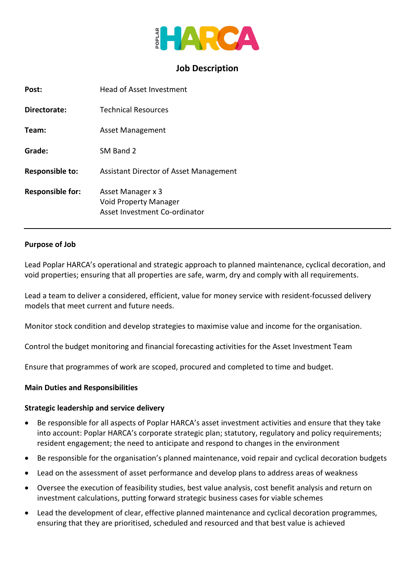

# **Job Description**

| Post:                   | Head of Asset Investment                                                    |
|-------------------------|-----------------------------------------------------------------------------|
| Directorate:            | <b>Technical Resources</b>                                                  |
| Team:                   | Asset Management                                                            |
| Grade:                  | SM Band 2                                                                   |
| Responsible to:         | Assistant Director of Asset Management                                      |
| <b>Responsible for:</b> | Asset Manager x 3<br>Void Property Manager<br>Asset Investment Co-ordinator |

#### **Purpose of Job**

Lead Poplar HARCA's operational and strategic approach to planned maintenance, cyclical decoration, and void properties; ensuring that all properties are safe, warm, dry and comply with all requirements.

Lead a team to deliver a considered, efficient, value for money service with resident-focussed delivery models that meet current and future needs.

Monitor stock condition and develop strategies to maximise value and income for the organisation.

Control the budget monitoring and financial forecasting activities for the Asset Investment Team

Ensure that programmes of work are scoped, procured and completed to time and budget.

#### **Main Duties and Responsibilities**

#### **Strategic leadership and service delivery**

- Be responsible for all aspects of Poplar HARCA's asset investment activities and ensure that they take into account: Poplar HARCA's corporate strategic plan; statutory, regulatory and policy requirements; resident engagement; the need to anticipate and respond to changes in the environment
- Be responsible for the organisation's planned maintenance, void repair and cyclical decoration budgets
- Lead on the assessment of asset performance and develop plans to address areas of weakness
- Oversee the execution of feasibility studies, best value analysis, cost benefit analysis and return on investment calculations, putting forward strategic business cases for viable schemes
- Lead the development of clear, effective planned maintenance and cyclical decoration programmes, ensuring that they are prioritised, scheduled and resourced and that best value is achieved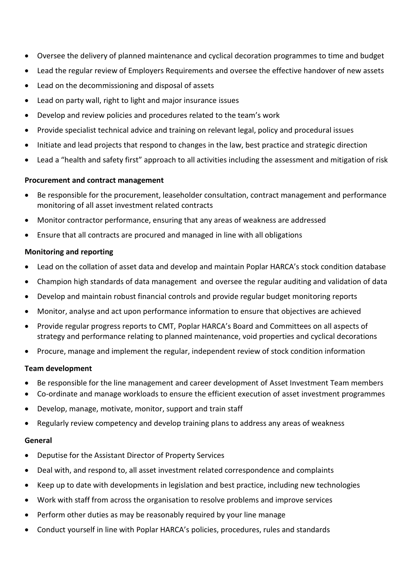- Oversee the delivery of planned maintenance and cyclical decoration programmes to time and budget
- Lead the regular review of Employers Requirements and oversee the effective handover of new assets
- Lead on the decommissioning and disposal of assets
- Lead on party wall, right to light and major insurance issues
- Develop and review policies and procedures related to the team's work
- Provide specialist technical advice and training on relevant legal, policy and procedural issues
- Initiate and lead projects that respond to changes in the law, best practice and strategic direction
- Lead a "health and safety first" approach to all activities including the assessment and mitigation of risk

## **Procurement and contract management**

- Be responsible for the procurement, leaseholder consultation, contract management and performance monitoring of all asset investment related contracts
- Monitor contractor performance, ensuring that any areas of weakness are addressed
- Ensure that all contracts are procured and managed in line with all obligations

## **Monitoring and reporting**

- Lead on the collation of asset data and develop and maintain Poplar HARCA's stock condition database
- Champion high standards of data management and oversee the regular auditing and validation of data
- Develop and maintain robust financial controls and provide regular budget monitoring reports
- Monitor, analyse and act upon performance information to ensure that objectives are achieved
- Provide regular progress reports to CMT, Poplar HARCA's Board and Committees on all aspects of strategy and performance relating to planned maintenance, void properties and cyclical decorations
- Procure, manage and implement the regular, independent review of stock condition information

# **Team development**

- Be responsible for the line management and career development of Asset Investment Team members
- Co-ordinate and manage workloads to ensure the efficient execution of asset investment programmes
- Develop, manage, motivate, monitor, support and train staff
- Regularly review competency and develop training plans to address any areas of weakness

#### **General**

- Deputise for the Assistant Director of Property Services
- Deal with, and respond to, all asset investment related correspondence and complaints
- Keep up to date with developments in legislation and best practice, including new technologies
- Work with staff from across the organisation to resolve problems and improve services
- Perform other duties as may be reasonably required by your line manage
- Conduct yourself in line with Poplar HARCA's policies, procedures, rules and standards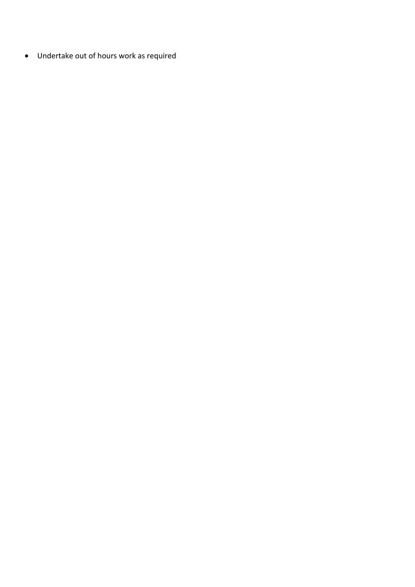Undertake out of hours work as required